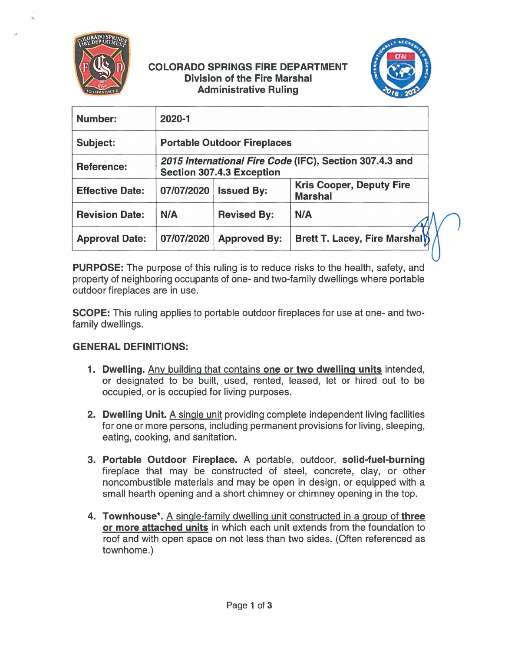

...

*J* 

## COLORADO **SPRINGS** FIRE DEPARTMENT Division of the Fire Marshal Administrative Ruling



| Number:                | 2020-1                                                                                      |                     |                                                   |
|------------------------|---------------------------------------------------------------------------------------------|---------------------|---------------------------------------------------|
| Subject:               | <b>Portable Outdoor Fireplaces</b>                                                          |                     |                                                   |
| <b>Reference:</b>      | 2015 International Fire Code (IFC), Section 307.4.3 and<br><b>Section 307.4.3 Exception</b> |                     |                                                   |
| <b>Effective Date:</b> | 07/07/2020                                                                                  | <b>Issued By:</b>   | <b>Kris Cooper, Deputy Fire</b><br><b>Marshal</b> |
| <b>Revision Date:</b>  | N/A                                                                                         | <b>Revised By:</b>  | N/A                                               |
| <b>Approval Date:</b>  | 07/07/2020                                                                                  | <b>Approved By:</b> | Brett T. Lacey, Fire Marshal                      |

**PURPOSE:** The purpose of this ruling is to reduce risks to the health, safety, and property of neighboring occupants of one- and two-family dwellings where portable outdoor fireplaces are in use.

**SCOPE:** This ruling applies to portable outdoor fireplaces for use at one- and twofamily dwellings.

# **GENERAL DEFINITIONS:**

- **1. Dwelling.** Any building that contains **one or two dwelling units** intended, or designated to be built, used, rented, leased, let or hired out to be occupied, or is occupied for living purposes.
- **2. Dwelling Unit. A** single unit providing complete independent living facilities for one or more persons, including permanent provisions for living, sleeping, eating, cooking, and sanitation.
- **3. Portable Outdoor Fireplace. A** portable, outdoor, **solid-fuel-burning**  fireplace that may be constructed of steel, concrete, clay, or other noncombustible materials and may be open in design, or equipped with a small hearth opening and a short chimney or chimney opening in the top.
- **4. Townhouse\*. A** single-family dwelling unit constructed in a group of **three or more attached units** in which each unit extends from the foundation to roof and with open space on not less than two sides. (Often referenced as townhome.)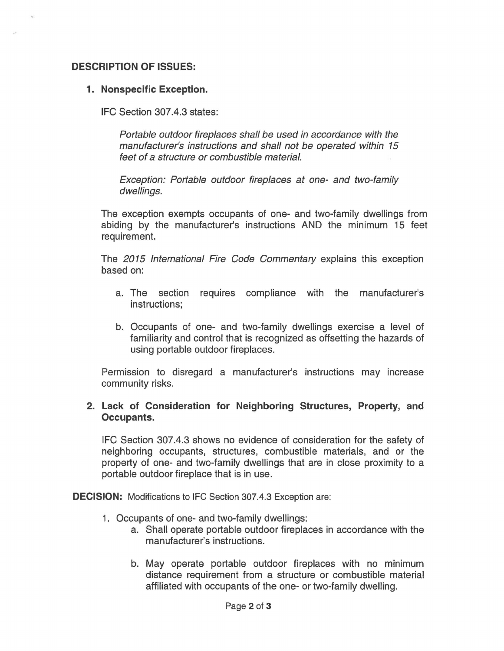### **DESCRIPTION OF ISSUES:**

#### **1. Nonspecific Exception.**

IFC Section 307.4.3 states:

Portable outdoor fireplaces shall be used in accordance with the manufacturer's instructions and shall not be operated within 15 feet of a structure or combustible material.

Exception: Portable outdoor fireplaces at one- and two-family dwellings.

The exception exempts occupants of one- and two-family dwellings from abiding by the manufacturer's instructions AND the minimum 15 feet requirement.

The 2015 International Fire Code Commentary explains this exception based on:

- a. The section requires compliance with the manufacturer's instructions;
- b. Occupants of one- and two-family dwellings exercise a level of familiarity and control that is recognized as offsetting the hazards of using portable outdoor fireplaces.

Permission to disregard a manufacturer's instructions may increase community risks.

### **2. Lack of Consideration for Neighboring Structures, Property, and Occupants.**

IFC Section 307.4.3 shows no evidence of consideration for the safety of neighboring occupants, structures, combustible materials, and or the property of one- and two-family dwellings that are in close proximity to a portable outdoor fireplace that is in use.

**DECISION:** Modifications to IFC Section 307.4.3 Exception are:

- 1. Occupants of one- and two-family dwellings:
	- a. Shall operate portable outdoor fireplaces in accordance with the manufacturer's instructions.
	- b. May operate portable outdoor fireplaces with no minimum distance requirement from a structure or combustible material affiliated with occupants of the one- or two-family dwelling.